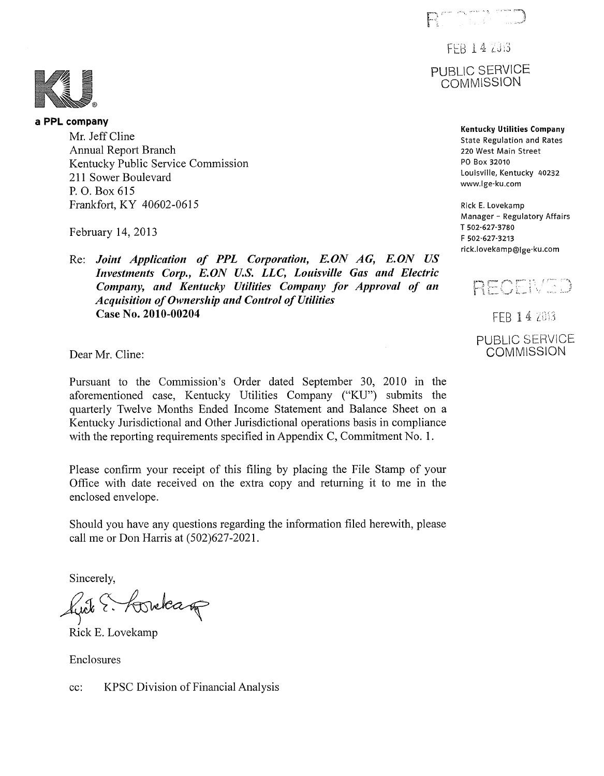an ann eisia 1970.<br>Tuatha ann an

FFB 14 2013 PUBLIC SERVICE **COMMISSION** 

> **Kentucky Utilities Company**  State Regulation and Rates 220 West Main Street **PO** Box 32010 Louisville, Kentucky 40232 www.lge-ku.corn

Rick **E.** Lovekarnp Manager - Regulatory Affairs T 502-627-3780 **F** 502-627-3213 rick.lovekarnp@ige-ku.corn



FEB 14 2013 **PUBLIC SERVICE COMMISSION** 

**a PPL company**  Mr. Jeff Cline Annual Report Branch Kentucky Public Service Commission 211 Sower Boulevard P. 0. Box 615 Frankfort, KY 40602-061 *5* 

February 14, 2013

Re: *Joint Application of PPL Corporation, E.ON AG, E.ON US Investments Corp., E.ON U.S. LLC, Louisville Gas and Electric Company, and Kentucky Utilities Company for Approval of an* Acquisition of Ownership and Control of Utilities **Case No. 2010-00204** 

Dear Mr. Cline:

Pursuant to the Commission's Order dated September 30, 2010 in the aforementioned case, Kentucky Utilities Company ("KU") submits the quarterly Twelve Months Ended Income Statement and Balance Sheet on a Kentucky Jurisdictional and Other Jurisdictional operations basis in compliance with the reporting requirements specified in Appendix C, Commitment No. 1.

Please confirm your receipt of this filing by placing the File Stamp of your Office with date received on the extra copy and returning it to me in the enclosed envelope.

Should you have any questions regarding the information filed herewith, please call me or Don Harris at (502)627-2021.

Sincerely,

fuite E. Horelcage

Rick E. Lovekamp

Enclosures

cc: KPSC Division of Financial Analysis

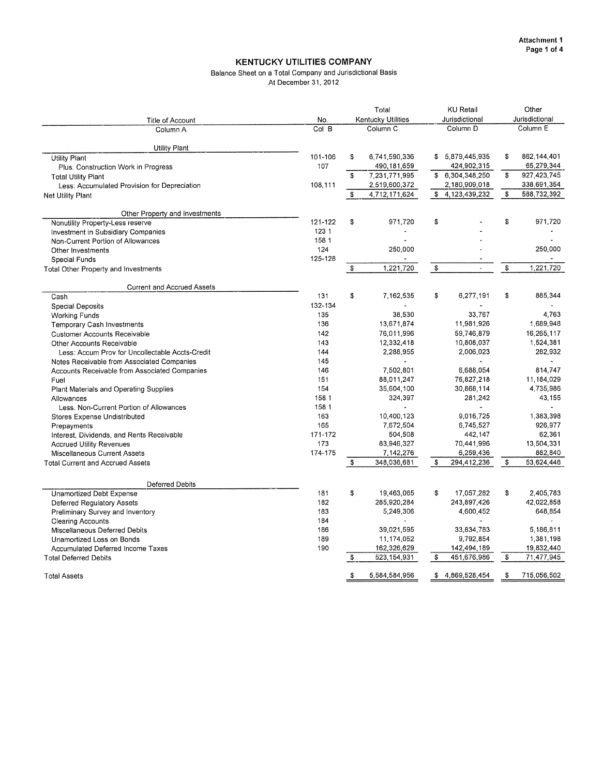#### Balance Sheet on a Total Company and Jurisdictional Basis At December 31, 2012

<span id="page-1-0"></span>

|                                                 |         | Total<br><b>Kentucky Utilities</b> |                |                | <b>KU Retail</b>         |                | Other               |  |  |
|-------------------------------------------------|---------|------------------------------------|----------------|----------------|--------------------------|----------------|---------------------|--|--|
| Title of Account                                | No.     |                                    |                | Jurisdictional |                          | Jurisdictional |                     |  |  |
| Column A                                        | Col B   | Column <sub>C</sub>                |                |                | Column <sub>D</sub>      |                | Column <sub>E</sub> |  |  |
| <b>Utility Plant</b>                            |         |                                    |                |                |                          |                |                     |  |  |
| <b>Utility Plant</b>                            | 101-106 | \$                                 | 6,741,590,336  | \$             | 5,879,445,935            | s              | 862, 144, 401       |  |  |
| Plus: Construction Work in Progress             | 107     |                                    | 490, 181, 659  |                | 424,902,315              |                | 65,279,344          |  |  |
| <b>Total Utility Plant</b>                      |         | \$                                 | 7,231,771,995  |                | \$ 6,304,348,250         | \$             | 927,423,745         |  |  |
| Less: Accumulated Provision for Depreciation    | 108,111 |                                    | 2,519,600,372  |                | 2,180,909,018            |                | 338,691,354         |  |  |
| Net Utility Plant                               |         | \$                                 | 4,712,171,624  |                | \$4,123,439,232          | \$             | 588,732,392         |  |  |
| Other Property and Investments                  |         |                                    |                |                |                          |                |                     |  |  |
| Nonutility Property-Less reserve                | 121-122 | \$                                 | 971,720        | \$             |                          | \$             | 971,720             |  |  |
| Investment in Subsidiary Companies              | 123.1   |                                    | ä,             |                |                          |                |                     |  |  |
| Non-Current Portion of Allowances               | 158 1   |                                    |                |                |                          |                |                     |  |  |
| Other Investments                               | 124     |                                    | 250,000        |                |                          |                | 250,000             |  |  |
| Special Funds                                   | 125-128 |                                    |                |                |                          |                |                     |  |  |
| Total Other Property and Investments            |         | \$                                 | 1,221,720      | \$             | $\overline{a}$           | \$             | 1,221,720           |  |  |
| <b>Current and Accrued Assets</b>               |         |                                    |                |                |                          |                |                     |  |  |
| Cash                                            | 131     | \$                                 | 7,162,535      | \$             | 6,277,191                | \$             | 885,344             |  |  |
| Special Deposits                                | 132-134 |                                    |                |                |                          |                |                     |  |  |
| <b>Working Funds</b>                            | 135     |                                    | 38.530         |                | 33.767                   |                | 4.763               |  |  |
| Temporary Cash Investments                      | 136     |                                    | 13,671,874     |                | 11,981,926               |                | 1,689,948           |  |  |
| <b>Customer Accounts Receivable</b>             | 142     |                                    | 76,011,996     |                | 59,746,879               |                | 16,265,117          |  |  |
| Other Accounts Receivable                       | 143     |                                    | 12,332,418     |                | 10,808,037               |                | 1,524,381           |  |  |
| Less: Accum Prov for Uncollectable Accts-Credit | 144     |                                    | 2,288,955      |                | 2,006,023                |                | 282,932             |  |  |
| Notes Receivable from Associated Companies      | 145     |                                    | $\blacksquare$ |                | $\overline{\phantom{a}}$ |                | $\blacksquare$      |  |  |
| Accounts Receivable from Associated Companies   | 146     |                                    | 7,502,801      |                | 6,688,054                |                | 814,747             |  |  |
| Fuel                                            | 151     |                                    | 88,011,247     |                | 76,827,218               |                | 11,184,029          |  |  |
| Plant Materials and Operating Supplies          | 154     |                                    | 35,604,100     |                | 30,868,114               |                | 4,735,986           |  |  |
| Allowances                                      | 158.1   |                                    | 324,397        |                | 281,242                  |                | 43,155              |  |  |
| Less. Non-Current Portion of Allowances         | 158 1   |                                    |                |                |                          |                |                     |  |  |
| Stores Expense Undistributed                    | 163     |                                    | 10,400,123     |                | 9,016,725                |                | 1,383,398           |  |  |
| Prepayments                                     | 165     |                                    | 7,672,504      |                | 6,745,527                |                | 926,977             |  |  |
| Interest, Dividends, and Rents Receivable       | 171-172 |                                    | 504,508        |                | 442,147                  |                | 62,361              |  |  |
| <b>Accrued Utility Revenues</b>                 | 173     |                                    | 83,946,327     |                | 70,441,996               |                | 13,504,331          |  |  |
| Miscellaneous Current Assets                    | 174-175 |                                    | 7, 142, 276    |                | 6,259,436                |                | 882,840             |  |  |
| <b>Total Current and Accrued Assets</b>         |         | \$                                 | 348,036,681    | S              | 294,412,236              | \$             | 53.624.446          |  |  |
| <b>Deferred Debits</b>                          |         |                                    |                |                |                          |                |                     |  |  |
| <b>Unamortized Debt Expense</b>                 | 181     | \$                                 | 19.463,065     | S              | 17,057,282               | s.             | 2.405.783           |  |  |
| Deferred Regulatory Assets                      | 182     |                                    | 285,920,284    |                | 243,897,426              |                | 42,022,858          |  |  |
| Preliminary Survey and Inventory                | 183     |                                    | 5,249,306      |                | 4,600,452                |                | 648,854             |  |  |
| Clearing Accounts                               | 184     |                                    |                |                |                          |                |                     |  |  |
| Miscellaneous Deferred Debits                   | 186     |                                    | 39,021,595     |                | 33,834,783               |                | 5,186,811           |  |  |
| Unamortized Loss on Bonds                       | 189     |                                    | 11,174,052     |                | 9,792,854                |                | 1,381,198           |  |  |
| <b>Accumulated Deferred Income Taxes</b>        | 190     |                                    | 162,326,629    |                | 142,494,189              |                | 19,832,440          |  |  |
| <b>Total Deferred Debits</b>                    |         | \$                                 | 523, 154, 931  | \$             | 451,676,986              | \$             | 71,477,945          |  |  |
| <b>Total Assets</b>                             |         | S                                  | 5,584,584,956  | S              | 4,869,528,454            | -S             | 715,056,502         |  |  |
|                                                 |         |                                    |                |                |                          |                |                     |  |  |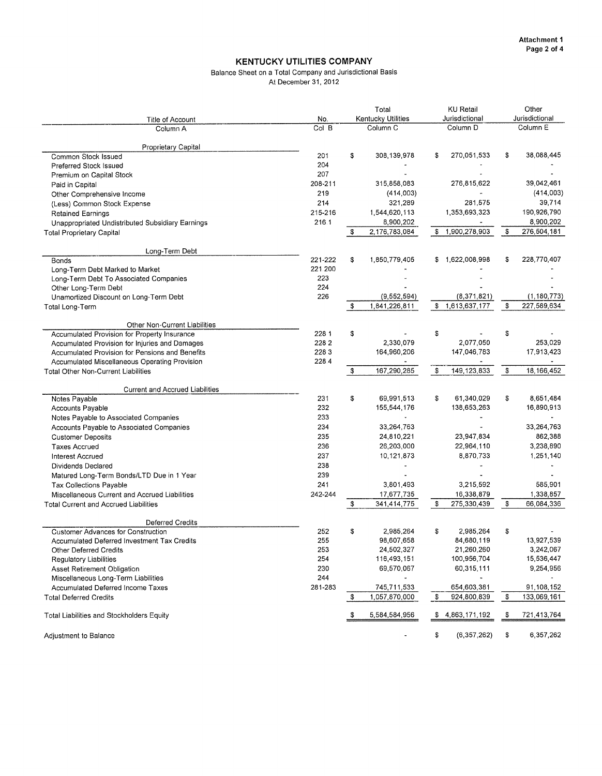#### Balance Sheet on a Total Company and Jurisdictional Basis At December 31, 2012

| Title of Account                                                                                                                                                                                                                                                                                                                                                                                                                               | No.                                                                           |                     |                                                                                                                                                                             | <b>KU Retail</b><br>Jurisdictional    |                                                                                                                                |          | Other<br>Jurisdictional                                                                                               |          |  |  |
|------------------------------------------------------------------------------------------------------------------------------------------------------------------------------------------------------------------------------------------------------------------------------------------------------------------------------------------------------------------------------------------------------------------------------------------------|-------------------------------------------------------------------------------|---------------------|-----------------------------------------------------------------------------------------------------------------------------------------------------------------------------|---------------------------------------|--------------------------------------------------------------------------------------------------------------------------------|----------|-----------------------------------------------------------------------------------------------------------------------|----------|--|--|
| Column A                                                                                                                                                                                                                                                                                                                                                                                                                                       | Col B                                                                         | Column <sub>C</sub> |                                                                                                                                                                             | <b>Kentucky Utilities</b><br>Column D |                                                                                                                                |          |                                                                                                                       | Column E |  |  |
| Proprietary Capital<br>Common Stock Issued<br>Preferred Stock Issued                                                                                                                                                                                                                                                                                                                                                                           | 201<br>204                                                                    | \$                  | 308,139,978                                                                                                                                                                 | \$                                    | 270,051,533                                                                                                                    | \$       | 38,088,445                                                                                                            |          |  |  |
| Premium on Capital Stock<br>Paid in Capital<br>Other Comprehensive Income<br>(Less) Common Stock Expense<br><b>Retained Earnings</b><br>Unappropriated Undistributed Subsidiary Earnings<br><b>Total Proprietary Capital</b>                                                                                                                                                                                                                   | 207<br>208-211<br>219<br>214<br>215-216<br>216.1                              | \$                  | 315,858,083<br>(414,003)<br>321,289<br>1,544,620,113<br>8,900,202<br>2,176,783,084                                                                                          | \$                                    | 276,815,622<br>281,575<br>1,353,693,323<br>1,900,278,903                                                                       | \$       | 39,042,461<br>(414,003)<br>39,714<br>190.926,790<br>8,900,202<br>276,504,181                                          |          |  |  |
| Long-Term Debt                                                                                                                                                                                                                                                                                                                                                                                                                                 |                                                                               |                     |                                                                                                                                                                             |                                       |                                                                                                                                |          |                                                                                                                       |          |  |  |
| Bonds<br>Long-Term Debt Marked to Market<br>Long-Term Debt To Associated Companies<br>Other Long-Term Debt<br>Unamortized Discount on Long-Term Debt                                                                                                                                                                                                                                                                                           | 221-222<br>221.200<br>223<br>224<br>226                                       | \$                  | 1,850,779,405<br>(9,552,594)                                                                                                                                                | \$                                    | 1,622,008,998<br>(8, 371, 821)                                                                                                 | \$       | 228,770,407<br>(1, 180, 773)                                                                                          |          |  |  |
| Total Long-Term                                                                                                                                                                                                                                                                                                                                                                                                                                |                                                                               | \$                  | 1,841,226,811                                                                                                                                                               |                                       | \$1,613,637,177                                                                                                                | \$       | 227,589,634                                                                                                           |          |  |  |
| Other Non-Current Liabilities<br>Accumulated Provision for Property Insurance<br>Accumulated Provision for Injuries and Damages<br>Accumulated Provision for Pensions and Benefits<br>Accumulated Miscellaneous Operating Provision<br><b>Total Other Non-Current Liabilities</b>                                                                                                                                                              | 228 1<br>2282<br>2283<br>228.4                                                | \$<br>\$            | 2,330,079<br>164,960,206<br>$\blacksquare$<br>167,290,285                                                                                                                   | \$<br>\$                              | 2,077,050<br>147,046,783<br>149, 123, 833                                                                                      | \$<br>\$ | 253,029<br>17,913,423<br>18, 166, 452                                                                                 |          |  |  |
|                                                                                                                                                                                                                                                                                                                                                                                                                                                |                                                                               |                     |                                                                                                                                                                             |                                       |                                                                                                                                |          |                                                                                                                       |          |  |  |
| <b>Current and Accrued Liabilities</b><br>Notes Payable<br>Accounts Payable<br>Notes Payable to Associated Companies<br>Accounts Payable to Associated Companies<br><b>Customer Deposits</b><br><b>Taxes Accrued</b><br>Interest Accrued<br>Dividends Declared<br>Matured Long-Term Bonds/LTD Due in 1 Year<br><b>Tax Collections Payable</b><br>Miscellaneous Current and Accrued Liabilities<br><b>Total Current and Accrued Liabilities</b> | 231<br>232<br>233<br>234<br>235<br>236<br>237<br>238<br>239<br>241<br>242-244 | \$<br>\$            | 69,991,513<br>155,544,176<br>$\ddot{\phantom{1}}$<br>33,264,763<br>24,810,221<br>26,203,000<br>10,121,873<br>$\ddot{\phantom{a}}$<br>3,801,493<br>17,677,735<br>341,414,775 | \$<br>\$                              | 61,340,029<br>138,653,263<br>$\blacksquare$<br>23,947,834<br>22,964,110<br>8.870,733<br>3,215,592<br>16,338,879<br>275,330,439 | \$<br>\$ | 8,651,484<br>16,890,913<br>÷<br>33,264,763<br>862,388<br>3,238,890<br>1,251,140<br>585,901<br>1,338,857<br>66,084,336 |          |  |  |
| <b>Deferred Credits</b><br><b>Customer Advances for Construction</b><br>Accumulated Deferred Investment Tax Credits<br><b>Other Deferred Credits</b><br>Regulatory Liabilities<br>Asset Retirement Obligation<br>Miscellaneous Long-Term Liabilities<br><b>Accumulated Deferred Income Taxes</b><br><b>Total Deferred Credits</b>                                                                                                              | 252<br>255<br>253<br>254<br>230<br>244<br>281-283                             | \$<br>\$            | 2,985,264<br>98,607,658<br>24,502,327<br>116,493,151<br>69,570,067<br>$\blacksquare$<br>745,711,533<br>1,057,870,000                                                        | \$<br>-\$                             | 2,985,264<br>84,680,119<br>21,260,260<br>100 956 704<br>60,315,111<br>654,603,381<br>924,800,839                               | \$<br>\$ | 13,927,539<br>3,242,067<br>15,536,447<br>9,254,956<br>91,108,152<br>133,069,161                                       |          |  |  |
| Total Liabilities and Stockholders Equity                                                                                                                                                                                                                                                                                                                                                                                                      |                                                                               |                     | 5,584,584,956                                                                                                                                                               | \$                                    | 4,863,171,192                                                                                                                  | \$       | 721,413,764                                                                                                           |          |  |  |
| Adjustment to Balance                                                                                                                                                                                                                                                                                                                                                                                                                          |                                                                               |                     |                                                                                                                                                                             | \$                                    | (6, 357, 262)                                                                                                                  | \$       | 6,357,262                                                                                                             |          |  |  |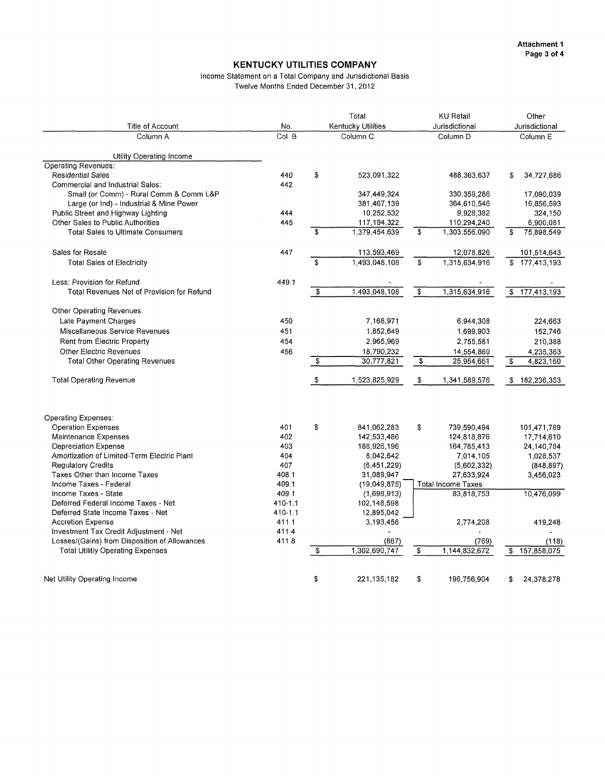#### Income Statement on a Total Company and Jurisdictional Basis Twelve Months Ended December **31, 2012**

<span id="page-3-0"></span>

| Title of Account                              | No.         | Total<br>Kentucky Utilities |               |                         | <b>KU Retail</b><br>Jurisdictional | Other<br>Jurisdictional |               |  |
|-----------------------------------------------|-------------|-----------------------------|---------------|-------------------------|------------------------------------|-------------------------|---------------|--|
| Column A                                      | Col. B      | Column <sub>C</sub>         |               |                         | Column <sub>D</sub>                |                         | Column E      |  |
|                                               |             |                             |               |                         |                                    |                         |               |  |
| Utility Operating Income                      |             |                             |               |                         |                                    |                         |               |  |
| <b>Operating Revenues:</b>                    |             |                             |               |                         |                                    |                         |               |  |
| <b>Residential Sales</b>                      | 440         | \$                          | 523,091,322   |                         | 488,363,637                        | s.                      | 34,727,686    |  |
| Commercial and Industrial Sales:              | 442         |                             |               |                         |                                    |                         |               |  |
| Small (or Comm) - Rural Comm & Comm L&P       |             |                             | 347,449,324   |                         | 330,359,286                        |                         | 17,090,039    |  |
| Large (or Ind) - Industrial & Mine Power      |             |                             | 381,467,139   |                         | 364,610,546                        |                         | 16,856,593    |  |
| Public Street and Highway Lighting            | 444         |                             | 10,252,532    |                         | 9,928,382                          |                         | 324,150       |  |
| Other Sales to Public Authorities             | 445         |                             | 117,194,322   |                         | 110,294,240                        |                         | 6,900,081     |  |
| <b>Total Sales to Ultimate Consumers</b>      |             | $\mathbf{s}$                | 1,379,454,639 | \$                      | 1,303,556,090                      | \$                      | 75,898,549    |  |
| Sales for Resale                              | 447         |                             | 113,593,469   |                         | 12,078,826                         |                         | 101,514,643   |  |
| <b>Total Sales of Electricity</b>             |             | $\mathbf{s}$                | 1,493,048,108 | s.                      | 1,315,634,916                      |                         | \$177,413,193 |  |
| Less: Provision for Refund                    | 449.1       |                             |               |                         |                                    |                         |               |  |
| Total Revenues Net of Provision for Refund    |             | $\overline{\$}$             | 1,493,048,108 | $\overline{\mathbf{s}}$ | 1,315,634,916                      |                         | \$177,413,193 |  |
|                                               |             |                             |               |                         |                                    |                         |               |  |
| Other Operating Revenues:                     |             |                             |               |                         |                                    |                         |               |  |
| Late Payment Charges                          | 450         |                             | 7,168,971     |                         | 6,944,308                          |                         | 224,663       |  |
| Miscellaneous Service Revenues                | 451         |                             | 1,852,649     |                         | 1,699,903                          |                         | 152,746       |  |
| Rent from Electric Property                   | 454         |                             | 2,965,969     |                         | 2,755,581                          |                         | 210,388       |  |
| <b>Other Electric Revenues</b>                | 456         |                             | 18,790,232    |                         | 14.554,869                         |                         | 4,235,363     |  |
| <b>Total Other Operating Revenues</b>         |             | \$                          | 30,777,821    | \$                      | 25 954 661                         | -\$                     | 4,823,160     |  |
| <b>Total Operating Revenue</b>                |             | \$                          | 1,523,825,929 | \$                      | 1,341,589,576                      |                         | \$182,236,353 |  |
| <b>Operating Expenses:</b>                    |             |                             |               |                         |                                    |                         |               |  |
| <b>Operation Expenses</b>                     | 401         | \$                          | 841,062,283   | \$                      | 739,590,494                        |                         | 101,471,789   |  |
| Maintenance Expenses                          | 402         |                             | 142,533,486   |                         | 124,818,876                        |                         | 17,714,610    |  |
| <b>Depreciation Expense</b>                   | 403         |                             | 188,926,196   |                         | 164,785,413                        |                         | 24, 140, 784  |  |
| Amortization of Limited-Term Electric Plant   | 404         |                             | 8,042,642     |                         | 7,014,105                          |                         | 1,028,537     |  |
| <b>Regulatory Credits</b>                     | 407         |                             | (6,451,229)   |                         | (5,602,332)                        |                         | (848, 897)    |  |
| Taxes Other than Income Taxes                 | 408.1       |                             | 31,089,947    |                         | 27,633,924                         |                         | 3,456,023     |  |
| Income Taxes - Federal                        | 409.1       |                             | (19,049,875)  |                         | <b>Total Income Taxes</b>          |                         |               |  |
| Income Taxes - State                          | 409.1       |                             | (1,698,913)   |                         | 83,818,753                         |                         | 10,476,099    |  |
| Deferred Federal Income Taxes - Net           | 410-1.1     |                             | 102,148,598   |                         |                                    |                         |               |  |
| Deferred State Income Taxes - Net             | $410 - 1.1$ |                             | 12,895,042    |                         |                                    |                         |               |  |
| <b>Accretion Expense</b>                      | 411.1       |                             | 3,193,456     |                         | 2,774,208                          |                         | 419,248       |  |
| Investment Tax Credit Adjustment - Net        | 411.4       |                             |               |                         |                                    |                         |               |  |
| Losses/(Gains) from Disposition of Allowances | 411.8       |                             | (887)         |                         | (769)                              |                         | (118)         |  |
| <b>Total Utilitiy Operating Expenses</b>      |             | S                           | 1,302,690,747 | $\overline{\mathbb{S}}$ | 1,144,832,672                      | \$                      | 157,858,075   |  |
|                                               |             |                             |               |                         |                                    |                         |               |  |
| Net Utility Operating Income                  |             | \$                          | 221.135.182   | \$                      | 196,756,904                        | \$                      | 24,378,278    |  |